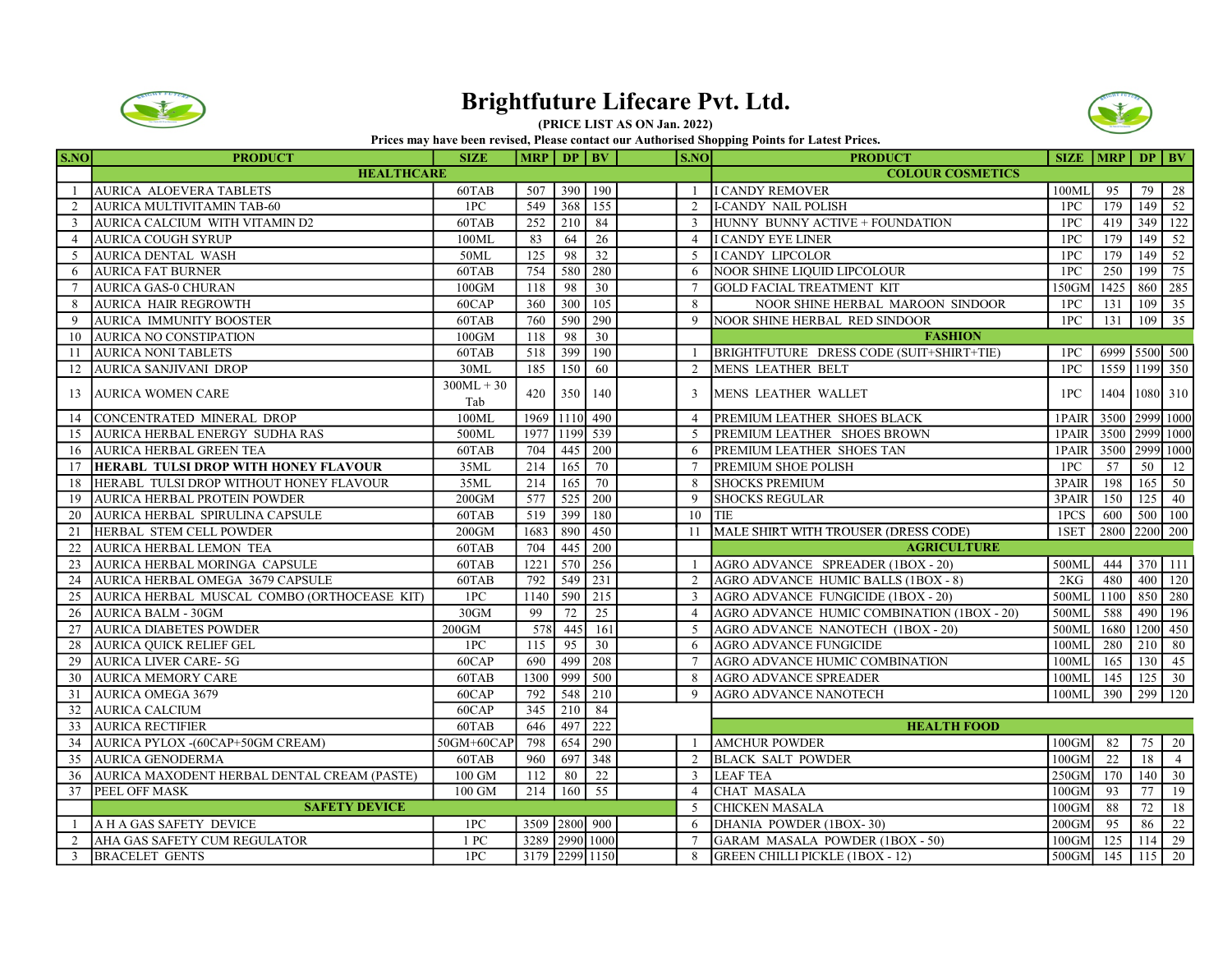

## Brightfuture Lifecare Pvt. Ltd.





| <b>HEALTHCARE</b><br><b>COLOUR COSMETICS</b><br>390 190<br><b>I CANDY REMOVER</b><br>AURICA ALOEVERA TABLETS<br>507<br>60TAB<br>-1<br>AURICA MULTIVITAMIN TAB-60<br>1PC<br>368<br>155<br><b>I-CANDY NAIL POLISH</b><br>$\overline{2}$<br>549<br>2<br>AURICA CALCIUM WITH VITAMIN D2<br>60 <sub>TAB</sub><br>$\overline{210}$<br>84<br>HUNNY BUNNY ACTIVE + FOUNDATION<br>$\overline{3}$<br>252<br>$\overline{3}$ | 100ML    | 95   |     |                 |  |  |  |  |
|------------------------------------------------------------------------------------------------------------------------------------------------------------------------------------------------------------------------------------------------------------------------------------------------------------------------------------------------------------------------------------------------------------------|----------|------|-----|-----------------|--|--|--|--|
|                                                                                                                                                                                                                                                                                                                                                                                                                  |          |      |     |                 |  |  |  |  |
|                                                                                                                                                                                                                                                                                                                                                                                                                  |          |      | 79  | $\overline{28}$ |  |  |  |  |
|                                                                                                                                                                                                                                                                                                                                                                                                                  | 1PC      | 179  | 149 | 52              |  |  |  |  |
|                                                                                                                                                                                                                                                                                                                                                                                                                  | 1PC      | 419  | 349 | 122             |  |  |  |  |
| <b>AURICA COUGH SYRUP</b><br>100ML<br>83<br>26<br><b>I CANDY EYE LINER</b><br>$\overline{4}$<br>64<br>$\overline{4}$                                                                                                                                                                                                                                                                                             | 1PC      | 179  | 149 | 52              |  |  |  |  |
| 32<br>50ML<br>125<br>98<br>5<br>5<br>AURICA DENTAL WASH<br>I CANDY LIPCOLOR                                                                                                                                                                                                                                                                                                                                      | 1PC      | 179  | 149 | 52              |  |  |  |  |
| 280<br><b>AURICA FAT BURNER</b><br>60TAB<br>754<br>580<br>NOOR SHINE LIQUID LIPCOLOUR<br>6<br>6                                                                                                                                                                                                                                                                                                                  | 1PC      | 250  | 199 | 75              |  |  |  |  |
| 98<br>30<br><b>GOLD FACIAL TREATMENT KIT</b><br>$\tau$<br><b>AURICA GAS-0 CHURAN</b><br>$100$ GM<br>118<br>$7\phantom{.0}$                                                                                                                                                                                                                                                                                       | 150GM    | 1425 | 860 | 285             |  |  |  |  |
| 105<br>300<br>8<br><b>AURICA HAIR REGROWTH</b><br>60CAP<br>360<br>NOOR SHINE HERBAL MAROON SINDOOR<br>8                                                                                                                                                                                                                                                                                                          | 1PC      | 131  | 109 | $\overline{35}$ |  |  |  |  |
| 290<br><b>AURICA IMMUNITY BOOSTER</b><br>60TAB<br>590<br>9<br>9<br>760<br>NOOR SHINE HERBAL RED SINDOOR                                                                                                                                                                                                                                                                                                          | 1PC      | 131  | 109 | $\overline{35}$ |  |  |  |  |
| <b>AURICA NO CONSTIPATION</b><br>98<br>30<br><b>FASHION</b><br>10<br>$100$ GM<br>118                                                                                                                                                                                                                                                                                                                             |          |      |     |                 |  |  |  |  |
| 399<br>190<br>BRIGHTFUTURE DRESS CODE (SUIT+SHIRT+TIE)<br><b>AURICA NONI TABLETS</b><br>60TAB<br>518<br>11                                                                                                                                                                                                                                                                                                       | 1PC      |      |     | 6999 5500 500   |  |  |  |  |
| <b>AURICA SANJIVANI DROP</b><br>30ML<br>60<br><b>MENS LEATHER BELT</b><br>185<br>150<br>2<br>12                                                                                                                                                                                                                                                                                                                  | 1PC      |      |     | 1559 1199 350   |  |  |  |  |
| $300ML + 30$<br>420<br><b>AURICA WOMEN CARE</b><br>350<br>140<br><b>MENS LEATHER WALLET</b><br>13<br>3                                                                                                                                                                                                                                                                                                           | 1PC      | 1404 |     | 1080 310        |  |  |  |  |
| Tab                                                                                                                                                                                                                                                                                                                                                                                                              |          |      |     |                 |  |  |  |  |
| 1110 490<br>CONCENTRATED MINERAL DROP<br>100ML<br>1969<br>PREMIUM LEATHER SHOES BLACK<br>$\overline{4}$<br>14                                                                                                                                                                                                                                                                                                    | 1PAIR    | 3500 |     | 2999 1000       |  |  |  |  |
| AURICA HERBAL ENERGY SUDHA RAS<br>1977<br>539<br>PREMIUM LEATHER SHOES BROWN<br>500ML<br>1199<br>5<br>15                                                                                                                                                                                                                                                                                                         | 1PAIR    | 3500 |     | 2999 1000       |  |  |  |  |
| <b>AURICA HERBAL GREEN TEA</b><br>200<br>16<br>60TAB<br>704<br>445<br>PREMIUM LEATHER SHOES TAN<br>6                                                                                                                                                                                                                                                                                                             | 1PAIR    | 3500 |     | 2999 1000       |  |  |  |  |
| 35ML<br>165<br>70<br>HERABL TULSI DROP WITH HONEY FLAVOUR<br>214<br>PREMIUM SHOE POLISH<br>17                                                                                                                                                                                                                                                                                                                    | 1PC      | 57   | 50  | 12              |  |  |  |  |
| HERABL TULSI DROP WITHOUT HONEY FLAVOUR<br>70<br>35ML<br>165<br><b>SHOCKS PREMIUM</b><br>214<br>8<br>18                                                                                                                                                                                                                                                                                                          | 3PAIR    | 198  | 165 | 50              |  |  |  |  |
| 577<br>525<br>200<br>19<br><b>AURICA HERBAL PROTEIN POWDER</b><br>$200$ GM<br>9<br><b>SHOCKS REGULAR</b>                                                                                                                                                                                                                                                                                                         | 3PAIR    | 150  | 125 | 40              |  |  |  |  |
| 399<br>180<br>AURICA HERBAL SPIRULINA CAPSULE<br>60TAB<br>519<br>10<br>20<br>TIE                                                                                                                                                                                                                                                                                                                                 | 1PCS     | 600  | 500 | 100             |  |  |  |  |
| 450<br>HERBAL STEM CELL POWDER<br>890<br>11  MALE SHIRT WITH TROUSER (DRESS CODE)<br>21<br>$200$ GM<br>1683                                                                                                                                                                                                                                                                                                      | 1SET     | 2800 |     | 2200 200        |  |  |  |  |
| $22\,$<br>AURICA HERBAL LEMON TEA<br>60TAB<br>704<br>445<br>200<br><b>AGRICULTURE</b>                                                                                                                                                                                                                                                                                                                            |          |      |     |                 |  |  |  |  |
| 570<br>256<br>AGRO ADVANCE SPREADER (1BOX - 20)<br>23<br>AURICA HERBAL MORINGA CAPSULE<br>60TAB<br>1221                                                                                                                                                                                                                                                                                                          | 500ML    | 444  |     | 370 111         |  |  |  |  |
| 231<br>AGRO ADVANCE HUMIC BALLS (1BOX - 8)<br>24<br>AURICA HERBAL OMEGA 3679 CAPSULE<br>60TAB<br>792<br>549<br>2                                                                                                                                                                                                                                                                                                 | 2KG      | 480  | 400 | 120             |  |  |  |  |
| 215<br>AURICA HERBAL MUSCAL COMBO (ORTHOCEASE KIT)<br>1PC<br>1140<br>590<br>$\mathbf{3}$<br>AGRO ADVANCE FUNGICIDE (1BOX - 20)<br>25                                                                                                                                                                                                                                                                             | 500ML    | 1100 | 850 | 280             |  |  |  |  |
| 99<br>72<br>25<br>26<br><b>AURICA BALM - 30GM</b><br>30GM<br>AGRO ADVANCE HUMIC COMBINATION (1BOX - 20)<br>$\overline{4}$                                                                                                                                                                                                                                                                                        | 500ML    | 588  | 490 | 196             |  |  |  |  |
| <b>AURICA DIABETES POWDER</b><br>578<br>445<br>161<br>27<br>$200$ GM<br>$\overline{5}$<br>AGRO ADVANCE NANOTECH (1BOX - 20)                                                                                                                                                                                                                                                                                      | 500ML    | 1680 |     | 1200 450        |  |  |  |  |
| <b>AURICA QUICK RELIEF GEL</b><br>1PC<br>30<br><b>AGRO ADVANCE FUNGICIDE</b><br>28<br>115<br>95<br>6                                                                                                                                                                                                                                                                                                             | 100ML    | 280  | 210 | 80              |  |  |  |  |
| 29<br>208<br><b>AURICA LIVER CARE-5G</b><br>60CAP<br>690<br>499<br>AGRO ADVANCE HUMIC COMBINATION                                                                                                                                                                                                                                                                                                                | 100ML    | 165  | 130 | 45              |  |  |  |  |
| 999<br>500<br><b>AURICA MEMORY CARE</b><br>60TAB<br>1300<br>AGRO ADVANCE SPREADER<br>30<br>8                                                                                                                                                                                                                                                                                                                     | 100ML    | 145  | 125 | 30              |  |  |  |  |
| 792<br>548<br>210<br>31<br><b>AURICA OMEGA 3679</b><br>60CAP<br>9<br><b>AGRO ADVANCE NANOTECH</b>                                                                                                                                                                                                                                                                                                                | 100ML    | 390  |     | 299 120         |  |  |  |  |
| 32<br>210<br>84<br><b>AURICA CALCIUM</b><br>60CAP<br>345                                                                                                                                                                                                                                                                                                                                                         |          |      |     |                 |  |  |  |  |
| 222<br>497<br>33<br><b>AURICA RECTIFIER</b><br>60TAB<br>646<br><b>HEALTH FOOD</b>                                                                                                                                                                                                                                                                                                                                |          |      |     |                 |  |  |  |  |
| 290<br>AURICA PYLOX -(60CAP+50GM CREAM)<br>798<br>654<br><b>AMCHUR POWDER</b><br>34<br>50GM+60CAP<br>$\overline{1}$                                                                                                                                                                                                                                                                                              | $100$ GM | 82   | 75  | 20              |  |  |  |  |
| 35<br>697<br>348<br><b>AURICA GENODERMA</b><br>60TAB<br>960<br>$\mathcal{L}$<br><b>BLACK SALT POWDER</b>                                                                                                                                                                                                                                                                                                         | $100$ GM | 22   | 18  | $\overline{4}$  |  |  |  |  |
| 22<br>36<br>AURICA MAXODENT HERBAL DENTAL CREAM (PASTE)<br>100 GM<br>112<br>80<br>$\overline{3}$<br><b>LEAF TEA</b>                                                                                                                                                                                                                                                                                              | 250GM    | 170  | 140 | 30              |  |  |  |  |
| 55<br>CHAT MASALA<br>37<br>PEEL OFF MASK<br>100 GM<br>214<br>160<br>$\overline{4}$                                                                                                                                                                                                                                                                                                                               | $100$ GM | 93   | 77  | 19              |  |  |  |  |
| <b>SAFETY DEVICE</b><br>$\overline{5}$<br><b>CHICKEN MASALA</b>                                                                                                                                                                                                                                                                                                                                                  | $100$ GM | 88   | 72  | 18              |  |  |  |  |
| 3509 2800 900<br>A H A GAS SAFETY DEVICE<br>1PC<br>DHANIA POWDER (1BOX-30)<br>6<br>-1                                                                                                                                                                                                                                                                                                                            | $200$ GM | 95   | 86  | $\overline{22}$ |  |  |  |  |
| 1 PC<br>3289<br>2990 1000<br>AHA GAS SAFETY CUM REGULATOR<br>GARAM MASALA POWDER (1BOX - 50)<br>2<br>$\overline{7}$                                                                                                                                                                                                                                                                                              | $100$ GM | 125  | 114 | $\overline{29}$ |  |  |  |  |
| 1PC<br>3179<br>2299 1150<br>$\overline{3}$<br><b>BRACELET GENTS</b><br>8<br><b>GREEN CHILLI PICKLE (1BOX - 12)</b>                                                                                                                                                                                                                                                                                               | 500GM    | 145  | 115 | 20              |  |  |  |  |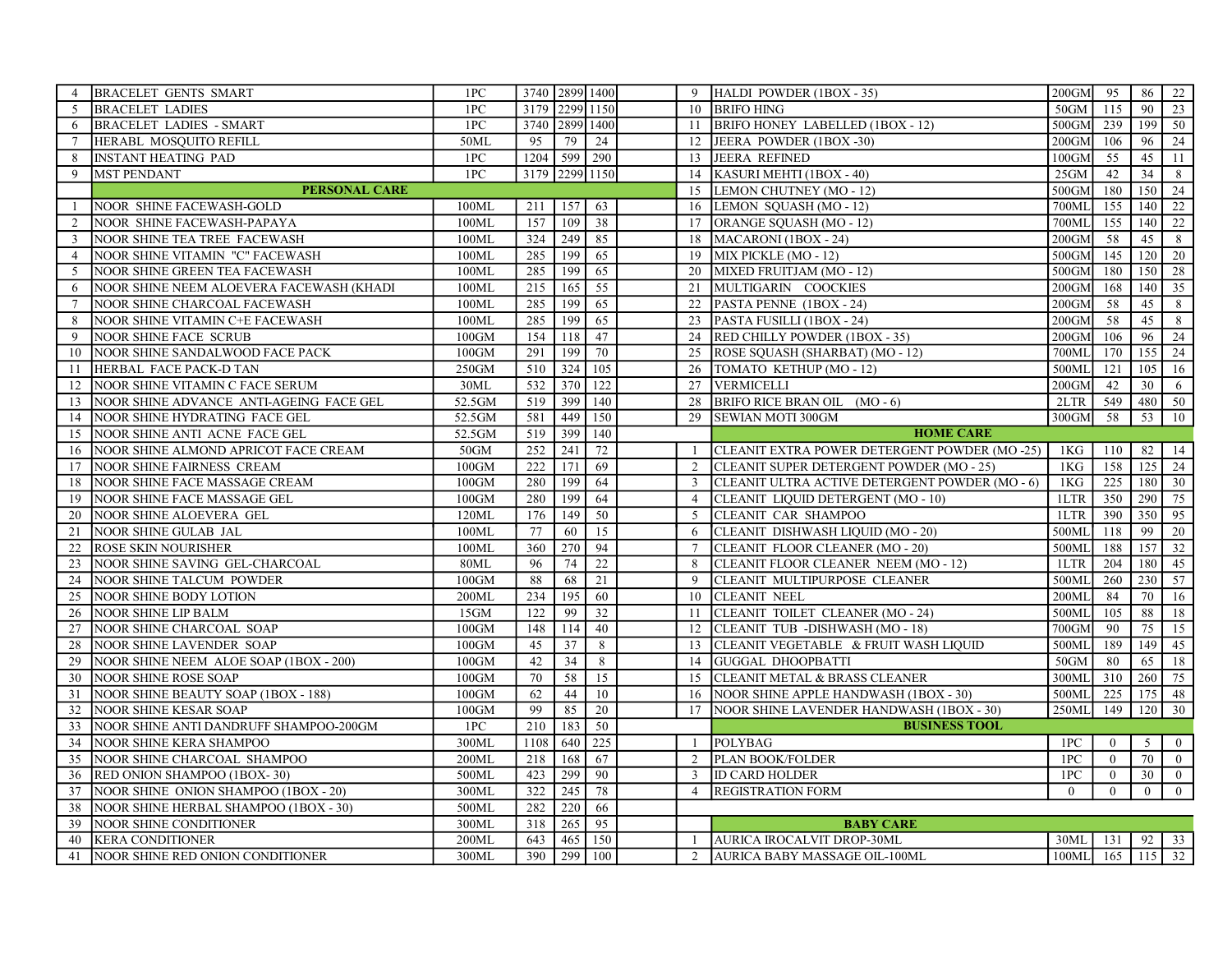| 4               | <b>BRACELET GENTS SMART</b>              | 1PC      | 3740 2899 1400 |                |                 |                 | 9 HALDI POWDER (1BOX - 35)                     | $200$ GM        | 95             | 86             | $\frac{22}{2}$  |
|-----------------|------------------------------------------|----------|----------------|----------------|-----------------|-----------------|------------------------------------------------|-----------------|----------------|----------------|-----------------|
| $\overline{5}$  | <b>BRACELET LADIES</b>                   | 1PC      | 3179 2299 1150 |                |                 |                 | 10 BRIFO HING                                  | 50GM            | 115            | 90             | 23              |
| 6               | <b>BRACELET LADIES - SMART</b>           | 1PC      |                | 3740 2899 1400 |                 | 11              | BRIFO HONEY LABELLED (1BOX - 12)               | 500GM           | 239            | 199            | 50              |
| $\tau$          | HERABL MOSQUITO REFILL                   | 50ML     | 95             | 79             | 24              | 12              | JEERA POWDER (1BOX-30)                         | 200GM           | 106            | 96             | 24              |
| 8               | <b>INSTANT HEATING PAD</b>               | 1PC      |                | 1204 599       | 290             | 13              | JEERA REFINED                                  | $100$ GM        | 55             | 45             | 11              |
| 9               | <b>MST PENDANT</b>                       | 1PC      |                | 3179 2299 1150 |                 | 14              | KASURI MEHTI (1BOX - 40)                       | 25GM            | 42             | 34             | 8               |
|                 | <b>PERSONAL CARE</b>                     |          |                |                |                 |                 | 15 LEMON CHUTNEY (MO-12)                       | 500GM           | 180            | $150$ 24       |                 |
|                 | NOOR SHINE FACEWASH-GOLD                 | 100ML    | 211            | 157            | 63              | 16              | LEMON SQUASH (MO - 12)                         | 700ML           | 155            | 140            | $\overline{22}$ |
| 2               | NOOR SHINE FACEWASH-PAPAYA               | 100ML    | 157            | 109            | 38              | 17              | ORANGE SQUASH (MO - 12)                        | 700ML           | 155            |                | $140 \mid 22$   |
| 3               | NOOR SHINE TEA TREE FACEWASH             | 100ML    | 324            | 249            | 85              | 18              | MACARONI (1BOX - 24)                           | 200GM           | 58             | 45             | 8               |
| $\overline{4}$  | NOOR SHINE VITAMIN "C" FACEWASH          | 100ML    | 285            | 199            | 65              | 19              | MIX PICKLE (MO - 12)                           | 500GM           | 145            |                | $120$ 20        |
| 5               | NOOR SHINE GREEN TEA FACEWASH            | 100ML    | 285            | 199            | 65              | 20              | MIXED FRUITJAM (MO - 12)                       | 500GM           | 180            | 150            | 28              |
| 6               | NOOR SHINE NEEM ALOEVERA FACEWASH (KHADI | 100ML    | 215            | 165            | $\overline{55}$ | 21              | MULTIGARIN COOCKIES                            | $200$ GM        | 168            |                | $140 \ 35$      |
| $\tau$          | NOOR SHINE CHARCOAL FACEWASH             | 100ML    | 285            | 199            | 65              | 22              | PASTA PENNE (1BOX - 24)                        | $200$ GM        | 58             | 45             | 8               |
| 8               | NOOR SHINE VITAMIN C+E FACEWASH          | 100ML    | 285            | 199            | 65              |                 | 23 PASTA FUSILLI (1BOX - 24)                   | $200$ GM        | 58             | 45             | 8               |
| 9               | <b>NOOR SHINE FACE SCRUB</b>             | $100$ GM | 154            | 118            | 47              |                 | 24 RED CHILLY POWDER (1BOX - 35)               | $200$ GM        | 106            | 96             | 24              |
| 10              | NOOR SHINE SANDALWOOD FACE PACK          | $100$ GM | 291            | 199            | 70              | 25              | ROSE SQUASH (SHARBAT) (MO - 12)                | 700ML           | 170            | 155            | 24              |
| 11              | HERBAL FACE PACK-D TAN                   | 250GM    | 510            | 324            | 105             | 26              | TOMATO KETHUP (MO-12)                          | 500ML           | 121            |                | $105$ 16        |
| 12              | NOOR SHINE VITAMIN C FACE SERUM          | 30ML     | 532            | 370            | 122             |                 | 27 VERMICELLI                                  | $200$ GM        | 42             | 30             | 6               |
| 13              | NOOR SHINE ADVANCE ANTI-AGEING FACE GEL  | 52.5GM   | 519            | 399            | 140             | 28              | BRIFO RICE BRAN OIL (MO-6)                     | 2LTR            | 549            | 480            | $\boxed{50}$    |
| 14              | NOOR SHINE HYDRATING FACE GEL            | 52.5GM   | 581            | 449            | 150             | 29              | SEWIAN MOTI 300GM                              | 300GM           | 58             | 53             | 10              |
| 15              | NOOR SHINE ANTI ACNE FACE GEL            | 52.5GM   | 519            | 399            | 140             |                 | <b>HOME CARE</b>                               |                 |                |                |                 |
| 16              | NOOR SHINE ALMOND APRICOT FACE CREAM     | 50GM     | 252            | 241            | 72              | $\overline{1}$  | CLEANIT EXTRA POWER DETERGENT POWDER (MO-25)   | 1KG             | 110            | 82             | 14              |
| 17              | NOOR SHINE FAIRNESS CREAM                | $100$ GM | 222            | 171            | 69              |                 | 2 CLEANIT SUPER DETERGENT POWDER (MO - 25)     | 1 <sub>KG</sub> | 158            |                | $125$ 24        |
| 18              | NOOR SHINE FACE MASSAGE CREAM            | $100$ GM | 280            | 199            | 64              | $\overline{3}$  | CLEANIT ULTRA ACTIVE DETERGENT POWDER (MO - 6) | 1KG             | 225            |                | 180 30          |
| 19              | NOOR SHINE FACE MASSAGE GEL              | $100$ GM | 280            | 199            | 64              | $\overline{4}$  | CLEANIT LIQUID DETERGENT (MO - 10)             | 1LTR            | 350            | 290 75         |                 |
| $\overline{20}$ | NOOR SHINE ALOEVERA GEL                  | 120ML    | 176            | 149            | 50              | 5               | CLEANIT CAR SHAMPOO                            | 1LTR            | 390            | 350 95         |                 |
| 21              | NOOR SHINE GULAB JAL                     | 100ML    | 77             | 60             | 15              | 6               | CLEANIT DISHWASH LIQUID (MO - 20)              | 500ML           | 118            | 99             | 20              |
| 22              | ROSE SKIN NOURISHER                      | 100ML    | 360            | 270            | 94              | $\tau$          | CLEANIT FLOOR CLEANER (MO - 20)                | 500ML           | 188            |                | $157$ 32        |
| 23              | NOOR SHINE SAVING GEL-CHARCOAL           | 80ML     | 96             | 74             | $\overline{22}$ | 8               | CLEANIT FLOOR CLEANER NEEM (MO - 12)           | 1LTR            | 204            | 180            | 45              |
| 24              | NOOR SHINE TALCUM POWDER                 | $100$ GM | 88             | 68             | $\overline{21}$ | 9               | CLEANIT MULTIPURPOSE CLEANER                   | 500MI           | 260            | 230 57         |                 |
| 25              | NOOR SHINE BODY LOTION                   | 200ML    | 234            | 195            | 60              | 10              | <b>CLEANIT NEEL</b>                            | 200ML           | 84             | 70             | 16              |
| 26              | NOOR SHINE LIP BALM                      | 15GM     | 122            | 99             | $\overline{32}$ | 11              | CLEANIT TOILET CLEANER (MO-24)                 | 500ML           | 105            | 88             | 18              |
| 27              | NOOR SHINE CHARCOAL SOAP                 | $100$ GM | 148            | 114            | 40              | 12              | CLEANIT TUB - DISHWASH (MO - 18)               | 700GM           | 90             | 75             | 15              |
| 28              | NOOR SHINE LAVENDER SOAP                 | $100$ GM | 45             | 37             | 8               |                 | 13 CLEANIT VEGETABLE & FRUIT WASH LIQUID       | 500ML           | 189            | 149            | 45              |
| 29              | NOOR SHINE NEEM ALOE SOAP (1BOX - 200)   | 100GM    | 42             | 34             | 8               |                 | 14 GUGGAL DHOOPBATTI                           | 50GM            | 80             | 65             | 18              |
| 30              | <b>NOOR SHINE ROSE SOAP</b>              | $100$ GM | 70             | 58             | 15              | 15              | <b>CLEANIT METAL &amp; BRASS CLEANER</b>       | 300ML           | 310            | 260            | 75              |
| 31              | NOOR SHINE BEAUTY SOAP (1BOX - 188)      | $100$ GM | 62             | 44             | 10              | 16 <sup>1</sup> | NOOR SHINE APPLE HANDWASH (1BOX - 30)          | 500ML           | 225            | 175            | 48              |
| 32              | NOOR SHINE KESAR SOAP                    | $100$ GM | 99             | 85             | $\overline{20}$ | 17              | NOOR SHINE LAVENDER HANDWASH (1BOX - 30)       | 250ML           | 149            | 120            | 30              |
| 33              | NOOR SHINE ANTI DANDRUFF SHAMPOO-200GM   | 1PC      | 210            | 183            | 50              |                 | <b>BUSINESS TOOL</b>                           |                 |                |                |                 |
| 34              | NOOR SHINE KERA SHAMPOO                  | 300ML    | 1108           | 640            | 225             | $\overline{1}$  | POLYBAG                                        | 1PC             | $\overline{0}$ | 5              | $\overline{0}$  |
| 35              | NOOR SHINE CHARCOAL SHAMPOO              | 200ML    | 218            | 168            | 67              |                 | 2 PLAN BOOK/FOLDER                             | 1PC             | $\overline{0}$ | 70             | $\overline{0}$  |
| 36              | RED ONION SHAMPOO (1BOX-30)              | 500ML    | 423            | 299            | 90              | $\mathbf{3}$    | <b>ID CARD HOLDER</b>                          | 1PC             | $\overline{0}$ | 30             | $\overline{0}$  |
| 37              | NOOR SHINE ONION SHAMPOO (1BOX - 20)     | 300ML    | 322            | 245            | 78              | $\overline{4}$  | <b>REGISTRATION FORM</b>                       | $\Omega$        | $\theta$       | $\overline{0}$ | $\boxed{0}$     |
| 38              | NOOR SHINE HERBAL SHAMPOO (1BOX - 30)    | 500ML    | 282            | 220            | 66              |                 |                                                |                 |                |                |                 |
| 39              | NOOR SHINE CONDITIONER                   | 300ML    | 318            | 265            | 95              |                 | <b>BABY CARE</b>                               |                 |                |                |                 |
| 40              | <b>KERA CONDITIONER</b>                  | 200ML    | 643            | 465            | 150             |                 | AURICA IROCALVIT DROP-30ML                     | 30ML            | 131            |                | $92 \mid 33$    |
| 41              | NOOR SHINE RED ONION CONDITIONER         | 300ML    | 390            | 299            | 100             | 2               | AURICA BABY MASSAGE OIL-100ML                  | 100ML           | 165            | $115 \mid 32$  |                 |